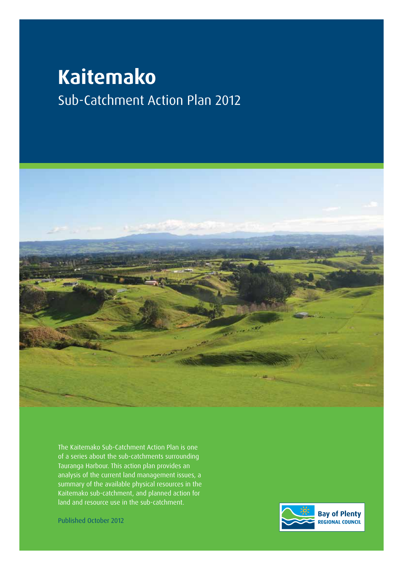# **Kaitemako** Sub-Catchment Action Plan 2012



The Kaitemako Sub-Catchment Action Plan is one of a series about the sub-catchments surrounding Tauranga Harbour. This action plan provides an analysis of the current land management issues, a summary of the available physical resources in the Kaitemako sub-catchment, and planned action for land and resource use in the sub-catchment.

Published October 2012

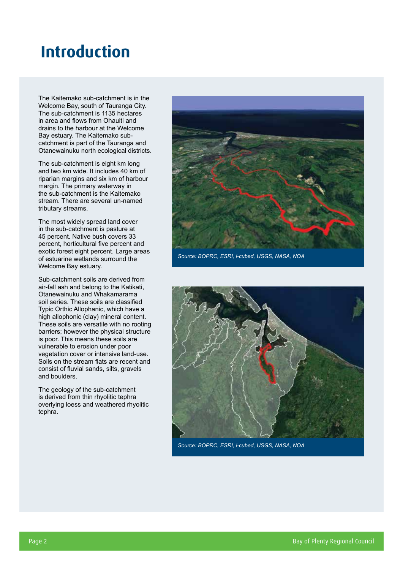## **Introduction**

The Kaitemako sub-catchment is in the Welcome Bay, south of Tauranga City. The sub-catchment is 1135 hectares in area and flows from Ohauiti and drains to the harbour at the Welcome Bay estuary. The Kaitemako subcatchment is part of the Tauranga and Otanewainuku north ecological districts.

The sub-catchment is eight km long and two km wide. It includes 40 km of riparian margins and six km of harbour margin. The primary waterway in the sub-catchment is the Kaitemako stream. There are several un-named tributary streams.

The most widely spread land cover in the sub-catchment is pasture at 45 percent. Native bush covers 33 percent, horticultural five percent and exotic forest eight percent. Large areas of estuarine wetlands surround the Welcome Bay estuary.

Sub-catchment soils are derived from air-fall ash and belong to the Katikati, Otanewainuku and Whakamarama soil series. These soils are classified Typic Orthic Allophanic, which have a high allophonic (clay) mineral content. These soils are versatile with no rooting barriers; however the physical structure is poor. This means these soils are vulnerable to erosion under poor vegetation cover or intensive land-use. Soils on the stream flats are recent and consist of fluvial sands, silts, gravels and boulders.

The geology of the sub-catchment is derived from thin rhyolitic tephra overlying loess and weathered rhyolitic tephra.



*Source: BOPRC, ESRI, i-cubed, USGS, NASA, NOA*



*Source: BOPRC, ESRI, i-cubed, USGS, NASA, NOA*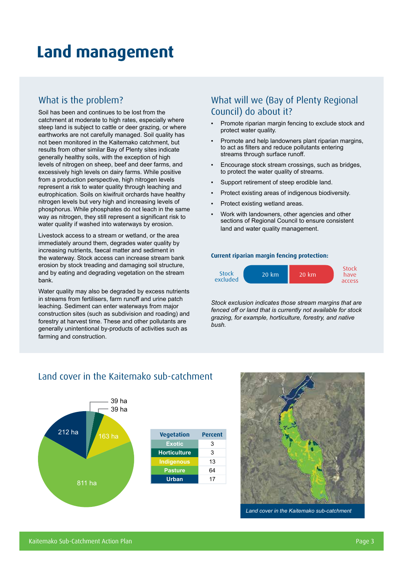## **Land management**

### What is the problem?

Soil has been and continues to be lost from the catchment at moderate to high rates, especially where steep land is subject to cattle or deer grazing, or where earthworks are not carefully managed. Soil quality has not been monitored in the Kaitemako catchment, but results from other similar Bay of Plenty sites indicate generally healthy soils, with the exception of high levels of nitrogen on sheep, beef and deer farms, and excessively high levels on dairy farms. While positive from a production perspective, high nitrogen levels represent a risk to water quality through leaching and eutrophication. Soils on kiwifruit orchards have healthy nitrogen levels but very high and increasing levels of phosphorus. While phosphates do not leach in the same way as nitrogen, they still represent a significant risk to water quality if washed into waterways by erosion.

Livestock access to a stream or wetland, or the area immediately around them, degrades water quality by increasing nutrients, faecal matter and sediment in the waterway. Stock access can increase stream bank erosion by stock treading and damaging soil structure, and by eating and degrading vegetation on the stream bank.

Water quality may also be degraded by excess nutrients in streams from fertilisers, farm runoff and urine patch leaching. Sediment can enter waterways from major construction sites (such as subdivision and roading) and forestry at harvest time. These and other pollutants are generally unintentional by-products of activities such as farming and construction.

## What will we (Bay of Plenty Regional Council) do about it?

- Promote riparian margin fencing to exclude stock and protect water quality.
- Promote and help landowners plant riparian margins, to act as filters and reduce pollutants entering streams through surface runoff.
- Encourage stock stream crossings, such as bridges, to protect the water quality of streams.
- Support retirement of steep erodible land.
- Protect existing areas of indigenous biodiversity.
- Protect existing wetland areas.
- Work with landowners, other agencies and other sections of Regional Council to ensure consistent land and water quality management.

#### **Current riparian margin fencing protection:**



*Stock exclusion indicates those stream margins that are fenced off or land that is currently not available for stock grazing, for example, horticulture, forestry, and native bush.*



### Land cover in the Kaitemako sub-catchment



*Land cover in the Kaitemako sub-catchment*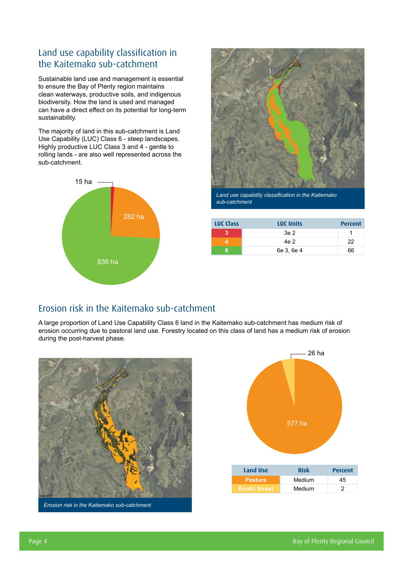## Land use capability classification in the Kaitemako sub-catchment

Sustainable land use and management is essential to ensure the Bay of Plenty region maintains clean waterways, productive soils, and indigenous biodiversity. How the land is used and managed can have a direct effect on its potential for long-term sustainability.

The majority of land in this sub-catchment is Land Use Capability (LUC) Class 6 - steep landscapes. Highly productive LUC Class 3 and 4 - gentle to rolling lands - are also well represented across the sub-catchment.





*Land use capability classification in the Kaitemako sub-catchment*

| <b>LUC Class</b> | <b>LUC Units</b> | <b>Percent</b> |
|------------------|------------------|----------------|
|                  | 3e 2             |                |
|                  | 4e 2             | 22             |
| ิค               | 6e 3, 6e 4       | 66             |

## Erosion risk in the Kaitemako sub-catchment

A large proportion of Land Use Capability Class 6 land in the Kaitemako sub-catchment has medium risk of erosion occurring due to pastoral land use. Forestry located on this class of land has a medium risk of erosion during the post-harvest phase.



*Erosion risk in the Kaitemako sub-catchment*

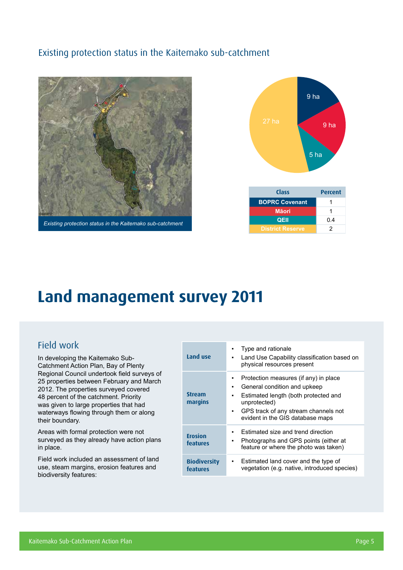## Existing protection status in the Kaitemako sub-catchment



*Existing protection status in the Kaitemako sub-catchment*



| <b>Class</b>            | <b>Percent</b> |
|-------------------------|----------------|
| <b>BOPRC Covenant</b>   | 1              |
| <b>Māori</b>            | 1              |
| <b>QEII</b>             | 0.4            |
| <b>District Reserve</b> | 2              |

## **Land management survey 2011**

### Field work

In developing the Kaitemako Sub-Catchment Action Plan, Bay of Plenty Regional Council undertook field surveys of 25 properties between February and March 2012. The properties surveyed covered 48 percent of the catchment. Priority was given to large properties that had waterways flowing through them or along their boundary.

Areas with formal protection were not surveyed as they already have action plans in place.

Field work included an assessment of land use, steam margins, erosion features and biodiversity features:

| Land use                        | Type and rationale<br>٠<br>Land Use Capability classification based on<br>٠<br>physical resources present                                                                                                                                |
|---------------------------------|------------------------------------------------------------------------------------------------------------------------------------------------------------------------------------------------------------------------------------------|
| <b>Stream</b><br>margins        | Protection measures (if any) in place<br>٠<br>General condition and upkeep<br>٠<br>Estimated length (both protected and<br>٠<br>unprotected)<br>GPS track of any stream channels not<br>$\mathbf{r}$<br>evident in the GIS database maps |
| <b>Erosion</b><br>features      | Estimated size and trend direction<br>٠<br>Photographs and GPS points (either at<br>٠<br>feature or where the photo was taken)                                                                                                           |
| <b>Biodiversity</b><br>features | Estimated land cover and the type of<br>٠<br>vegetation (e.g. native, introduced species)                                                                                                                                                |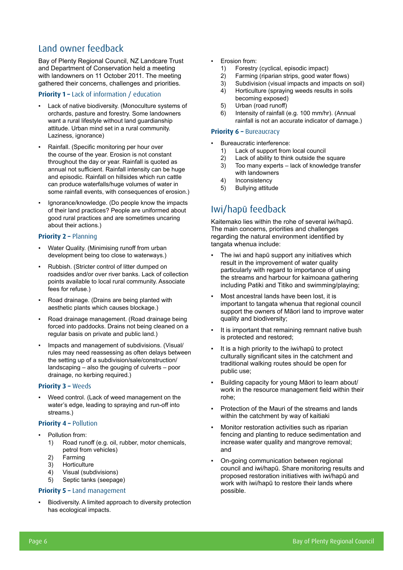## Land owner feedback

Bay of Plenty Regional Council, NZ Landcare Trust and Department of Conservation held a meeting with landowners on 11 October 2011. The meeting gathered their concerns, challenges and priorities.

#### **Priority 1 –** Lack of information / education

- Lack of native biodiversity. (Monoculture systems of orchards, pasture and forestry. Some landowners want a rural lifestyle without land guardianship attitude. Urban mind set in a rural community. Laziness, ignorance)
- Rainfall. (Specific monitoring per hour over the course of the year. Erosion is not constant throughout the day or year. Rainfall is quoted as annual not sufficient. Rainfall intensity can be huge and episodic. Rainfall on hillsides which run cattle can produce waterfalls/huge volumes of water in some rainfall events, with consequences of erosion.)
- Ignorance/knowledge. (Do people know the impacts of their land practices? People are uniformed about good rural practices and are sometimes uncaring about their actions.)

#### **Priority 2 –** Planning

- Water Quality. (Minimising runoff from urban development being too close to waterways.)
- Rubbish. (Stricter control of litter dumped on roadsides and/or over river banks. Lack of collection points available to local rural community. Associate fees for refuse.)
- Road drainage. (Drains are being planted with aesthetic plants which causes blockage.)
- Road drainage management. (Road drainage being forced into paddocks. Drains not being cleaned on a regular basis on private and public land.)
- Impacts and management of subdivisions. (Visual/ rules may need reassessing as often delays between the setting up of a subdivision/sale/construction/ landscaping – also the gouging of culverts – poor drainage, no kerbing required.)

#### **Priority 3 –** Weeds

Weed control. (Lack of weed management on the water's edge, leading to spraying and run-off into streams.)

#### **Priority 4 – Pollution**

- Pollution from:
	- 1) Road runoff (e.g. oil, rubber, motor chemicals, petrol from vehicles)
	- 2) Farming
	- 3) Horticulture
	- 4) Visual (subdivisions)<br>5) Septic tanks (seepac
	- Septic tanks (seepage)

#### **Priority 5 –** Land management

Biodiversity. A limited approach to diversity protection has ecological impacts.

- Erosion from:
	- 1) Forestry (cyclical, episodic impact)
	- 2) Farming (riparian strips, good water flows)
	- 3) Subdivision (visual impacts and impacts on soil)
	- 4) Horticulture (spraying weeds results in soils becoming exposed)
	- 5) Urban (road runoff)
	- 6) Intensity of rainfall (e.g. 100 mm/hr). (Annual rainfall is not an accurate indicator of damage.)

#### **Priority 6 - Bureaucracy**

- Bureaucratic interference:
	- 1) Lack of support from local council
	- 2) Lack of ability to think outside the square
	- 3) Too many experts lack of knowledge transfer with landowners
	- 4) Inconsistency
	- 5) Bullying attitude

## Iwi/hapū feedback

Kaitemako lies within the rohe of several iwi/hapū. The main concerns, priorities and challenges regarding the natural environment identified by tangata whenua include:

- The iwi and hapū support any initiatives which result in the improvement of water quality particularly with regard to importance of using the streams and harbour for kaimoana gathering including Patiki and Titiko and swimming/playing;
- Most ancestral lands have been lost, it is important to tangata whenua that regional council support the owners of Māori land to improve water quality and biodiversity;
- It is important that remaining remnant native bush is protected and restored;
- It is a high priority to the iwi/hapū to protect culturally significant sites in the catchment and traditional walking routes should be open for public use;
- Building capacity for young Māori to learn about/ work in the resource management field within their rohe;
- Protection of the Mauri of the streams and lands within the catchment by way of kaitiaki
- Monitor restoration activities such as riparian fencing and planting to reduce sedimentation and increase water quality and mangrove removal; and
- On-going communication between regional council and iwi/hapū. Share monitoring results and proposed restoration initiatives with iwi/hapū and work with iwi/hapū to restore their lands where possible.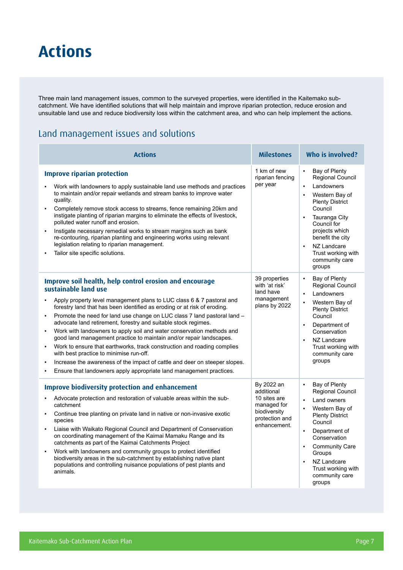## **Actions**

Three main land management issues, common to the surveyed properties, were identified in the Kaitemako subcatchment. We have identified solutions that will help maintain and improve riparian protection, reduce erosion and unsuitable land use and reduce biodiversity loss within the catchment area, and who can help implement the actions.

## Land management issues and solutions

| <b>Actions</b>                                                                                                                                                                                                                                                                                                                                                                                                                                                                                                                                                                                                                                                                                                                                                                                                                | <b>Milestones</b>                                                                                         | Who is involved?                                                                                                                                                                                                                                                                                                          |
|-------------------------------------------------------------------------------------------------------------------------------------------------------------------------------------------------------------------------------------------------------------------------------------------------------------------------------------------------------------------------------------------------------------------------------------------------------------------------------------------------------------------------------------------------------------------------------------------------------------------------------------------------------------------------------------------------------------------------------------------------------------------------------------------------------------------------------|-----------------------------------------------------------------------------------------------------------|---------------------------------------------------------------------------------------------------------------------------------------------------------------------------------------------------------------------------------------------------------------------------------------------------------------------------|
| <b>Improve riparian protection</b><br>Work with landowners to apply sustainable land use methods and practices<br>to maintain and/or repair wetlands and stream banks to improve water<br>quality.<br>Completely remove stock access to streams, fence remaining 20km and<br>instigate planting of riparian margins to eliminate the effects of livestock,<br>polluted water runoff and erosion.<br>Instigate necessary remedial works to stream margins such as bank<br>×,<br>re-contouring, riparian planting and engineering works using relevant<br>legislation relating to riparian management.<br>Tailor site specific solutions.                                                                                                                                                                                       | 1 km of new<br>riparian fencing<br>per year                                                               | $\blacksquare$<br>Bay of Plenty<br>Regional Council<br>Landowners<br>$\blacksquare$<br>Western Bay of<br>$\blacksquare$<br><b>Plenty District</b><br>Council<br>Tauranga City<br>$\blacksquare$<br>Council for<br>projects which<br>benefit the city<br>NZ Landcare<br>Trust working with<br>community care<br>groups     |
| Improve soil health, help control erosion and encourage<br>sustainable land use<br>Apply property level management plans to LUC class 6 & 7 pastoral and<br>forestry land that has been identified as eroding or at risk of eroding.<br>Promote the need for land use change on LUC class 7 land pastoral land -<br>×,<br>advocate land retirement, forestry and suitable stock regimes.<br>Work with landowners to apply soil and water conservation methods and<br>٠<br>good land management practice to maintain and/or repair landscapes.<br>Work to ensure that earthworks, track construction and roading complies<br>٠<br>with best practice to minimise run-off.<br>Increase the awareness of the impact of cattle and deer on steeper slopes.<br>Ensure that landowners apply appropriate land management practices. | 39 properties<br>with 'at risk'<br>land have<br>management<br>plans by 2022                               | $\blacksquare$<br>Bay of Plenty<br>Regional Council<br>Landowners<br>$\blacksquare$<br>Western Bay of<br><b>Plenty District</b><br>Council<br>Department of<br>$\blacksquare$<br>Conservation<br>NZ Landcare<br>$\blacksquare$<br>Trust working with<br>community care<br>groups                                          |
| <b>Improve biodiversity protection and enhancement</b><br>Advocate protection and restoration of valuable areas within the sub-<br>catchment<br>Continue tree planting on private land in native or non-invasive exotic<br>species<br>Liaise with Waikato Regional Council and Department of Conservation<br>$\blacksquare$<br>on coordinating management of the Kaimai Mamaku Range and its<br>catchments as part of the Kaimai Catchments Project<br>Work with landowners and community groups to protect identified<br>biodiversity areas in the sub-catchment by establishing native plant<br>populations and controlling nuisance populations of pest plants and<br>animals.                                                                                                                                             | By 2022 an<br>additional<br>10 sites are<br>managed for<br>biodiversity<br>protection and<br>enhancement. | Bay of Plenty<br>$\blacksquare$<br>Regional Council<br>Land owners<br>$\blacksquare$<br>Western Bay of<br>٠<br><b>Plenty District</b><br>Council<br>Department of<br>$\blacksquare$<br>Conservation<br><b>Community Care</b><br>Groups<br>NZ Landcare<br>$\blacksquare$<br>Trust working with<br>community care<br>groups |